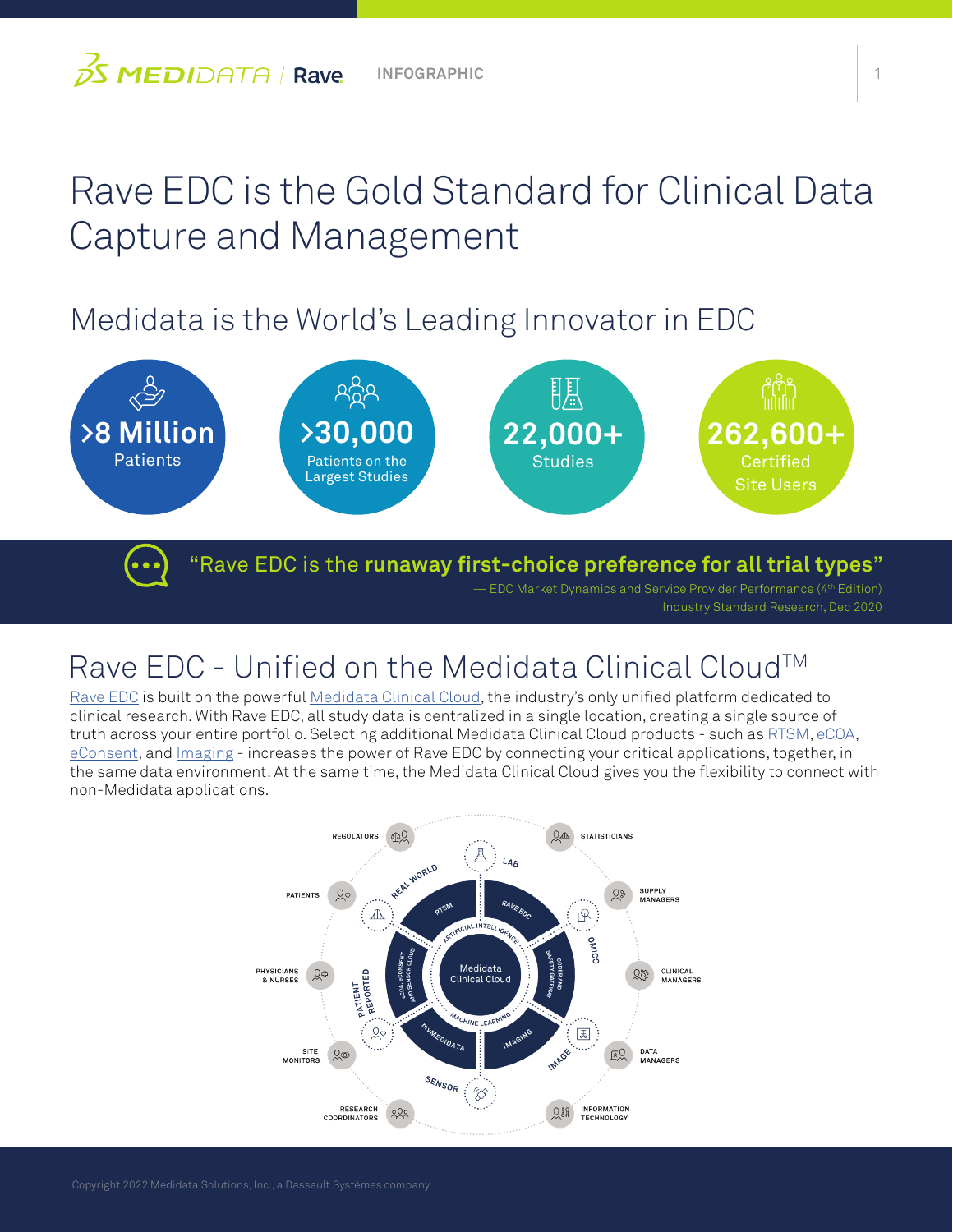# Rave EDC is the Gold Standard for Clinical Data Capture and Management

## Medidata is the World's Leading Innovator in EDC



— EDC Market Dynamics and Service Provider Performance (4th Edition) Industry Standard Research, Dec 2020

### Rave EDC - Unified on the Medidata Clinical Cloud™

[Rave EDC](https://www.medidata.com/en/clinical-trial-products/clinical-data-management/edc-systems) is built on the powerful [Medidata Clinical Cloud,](https://www.medidata.com/en/clinical-trial-products/unified-platform) the industry's only unified platform dedicated to clinical research. With Rave EDC, all study data is centralized in a single location, creating a single source of truth across your entire portfolio. Selecting additional Medidata Clinical Cloud products - such as [RTSM](https://www.medidata.com/en/clinical-trial-products/clinical-data-management/rtsm), [eCOA,](https://www.medidata.com/en/clinical-trial-products/patient-centric-clinical-trials/ecoa) [eConsent,](https://www.medidata.com/en/clinical-trial-products/patient-centric-clinical-trials/econsent) and [Imaging](https://www.medidata.com/en/clinical-trial-products/clinical-data-management/clinical-trial-imaging) - increases the power of Rave EDC by connecting your critical applications, together, in the same data environment. At the same time, the Medidata Clinical Cloud gives you the flexibility to connect with non-Medidata applications.